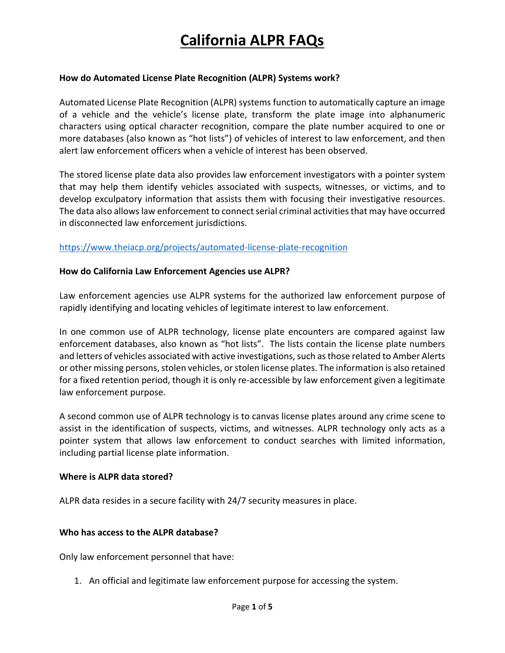#### **How do Automated License Plate Recognition (ALPR) Systems work?**

Automated License Plate Recognition (ALPR) systems function to automatically capture an image of a vehicle and the vehicle's license plate, transform the plate image into alphanumeric characters using optical character recognition, compare the plate number acquired to one or more databases (also known as "hot lists") of vehicles of interest to law enforcement, and then alert law enforcement officers when a vehicle of interest has been observed.

The stored license plate data also provides law enforcement investigators with a pointer system that may help them identify vehicles associated with suspects, witnesses, or victims, and to develop exculpatory information that assists them with focusing their investigative resources. The data also allows law enforcement to connect serial criminal activities that may have occurred in disconnected law enforcement jurisdictions.

#### https://www.theiacp.org/projects/automated-license-plate-recognition

#### **How do California Law Enforcement Agencies use ALPR?**

Law enforcement agencies use ALPR systems for the authorized law enforcement purpose of rapidly identifying and locating vehicles of legitimate interest to law enforcement.

In one common use of ALPR technology, license plate encounters are compared against law enforcement databases, also known as "hot lists". The lists contain the license plate numbers and letters of vehicles associated with active investigations, such as those related to Amber Alerts or other missing persons, stolen vehicles, or stolen license plates. The information is also retained for a fixed retention period, though it is only re-accessible by law enforcement given a legitimate law enforcement purpose.

A second common use of ALPR technology is to canvas license plates around any crime scene to assist in the identification of suspects, victims, and witnesses. ALPR technology only acts as a pointer system that allows law enforcement to conduct searches with limited information, including partial license plate information.

#### **Where is ALPR data stored?**

ALPR data resides in a secure facility with 24/7 security measures in place.

### **Who has access to the ALPR database?**

Only law enforcement personnel that have:

1. An official and legitimate law enforcement purpose for accessing the system.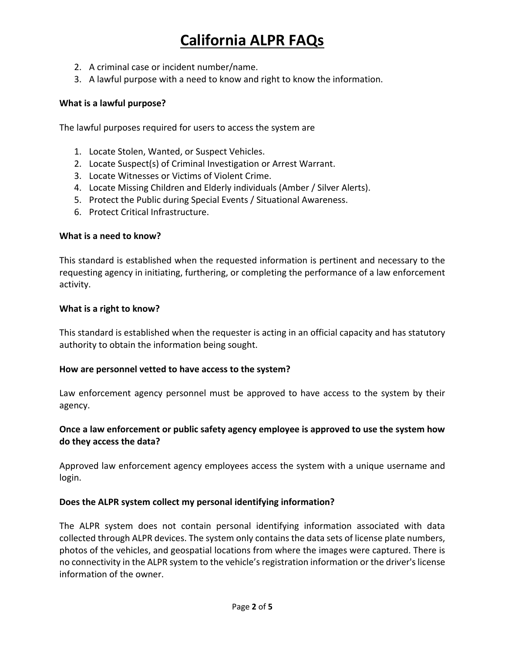- 2. A criminal case or incident number/name.
- 3. A lawful purpose with a need to know and right to know the information.

### **What is a lawful purpose?**

The lawful purposes required for users to access the system are

- 1. Locate Stolen, Wanted, or Suspect Vehicles.
- 2. Locate Suspect(s) of Criminal Investigation or Arrest Warrant.
- 3. Locate Witnesses or Victims of Violent Crime.
- 4. Locate Missing Children and Elderly individuals (Amber / Silver Alerts).
- 5. Protect the Public during Special Events / Situational Awareness.
- 6. Protect Critical Infrastructure.

### **What is a need to know?**

This standard is established when the requested information is pertinent and necessary to the requesting agency in initiating, furthering, or completing the performance of a law enforcement activity.

### **What is a right to know?**

This standard is established when the requester is acting in an official capacity and has statutory authority to obtain the information being sought.

### **How are personnel vetted to have access to the system?**

Law enforcement agency personnel must be approved to have access to the system by their agency.

## **Once a law enforcement or public safety agency employee is approved to use the system how do they access the data?**

Approved law enforcement agency employees access the system with a unique username and login.

### **Does the ALPR system collect my personal identifying information?**

The ALPR system does not contain personal identifying information associated with data collected through ALPR devices. The system only contains the data sets of license plate numbers, photos of the vehicles, and geospatial locations from where the images were captured. There is no connectivity in the ALPR system to the vehicle's registration information or the driver's license information of the owner.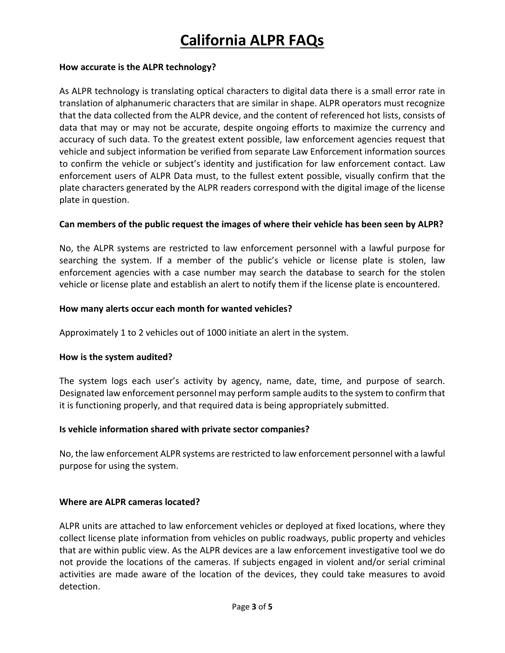### **How accurate is the ALPR technology?**

As ALPR technology is translating optical characters to digital data there is a small error rate in translation of alphanumeric characters that are similar in shape. ALPR operators must recognize that the data collected from the ALPR device, and the content of referenced hot lists, consists of data that may or may not be accurate, despite ongoing efforts to maximize the currency and accuracy of such data. To the greatest extent possible, law enforcement agencies request that vehicle and subject information be verified from separate Law Enforcement information sources to confirm the vehicle or subject's identity and justification for law enforcement contact. Law enforcement users of ALPR Data must, to the fullest extent possible, visually confirm that the plate characters generated by the ALPR readers correspond with the digital image of the license plate in question.

## **Can members of the public request the images of where their vehicle has been seen by ALPR?**

No, the ALPR systems are restricted to law enforcement personnel with a lawful purpose for searching the system. If a member of the public's vehicle or license plate is stolen, law enforcement agencies with a case number may search the database to search for the stolen vehicle or license plate and establish an alert to notify them if the license plate is encountered.

### **How many alerts occur each month for wanted vehicles?**

Approximately 1 to 2 vehicles out of 1000 initiate an alert in the system.

### **How is the system audited?**

The system logs each user's activity by agency, name, date, time, and purpose of search. Designated law enforcement personnel may perform sample audits to the system to confirm that it is functioning properly, and that required data is being appropriately submitted.

### **Is vehicle information shared with private sector companies?**

No, the law enforcement ALPR systems are restricted to law enforcement personnel with a lawful purpose for using the system.

### **Where are ALPR cameras located?**

ALPR units are attached to law enforcement vehicles or deployed at fixed locations, where they collect license plate information from vehicles on public roadways, public property and vehicles that are within public view. As the ALPR devices are a law enforcement investigative tool we do not provide the locations of the cameras. If subjects engaged in violent and/or serial criminal activities are made aware of the location of the devices, they could take measures to avoid detection.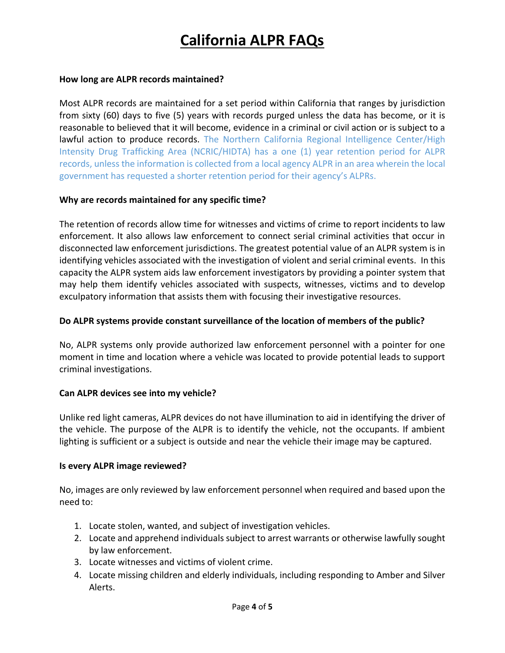### **How long are ALPR records maintained?**

Most ALPR records are maintained for a set period within California that ranges by jurisdiction from sixty (60) days to five (5) years with records purged unless the data has become, or it is reasonable to believed that it will become, evidence in a criminal or civil action or is subject to a lawful action to produce records. The Northern California Regional Intelligence Center/High Intensity Drug Trafficking Area (NCRIC/HIDTA) has a one (1) year retention period for ALPR records, unless the information is collected from a local agency ALPR in an area wherein the local government has requested a shorter retention period for their agency's ALPRs.

### **Why are records maintained for any specific time?**

The retention of records allow time for witnesses and victims of crime to report incidents to law enforcement. It also allows law enforcement to connect serial criminal activities that occur in disconnected law enforcement jurisdictions. The greatest potential value of an ALPR system is in identifying vehicles associated with the investigation of violent and serial criminal events. In this capacity the ALPR system aids law enforcement investigators by providing a pointer system that may help them identify vehicles associated with suspects, witnesses, victims and to develop exculpatory information that assists them with focusing their investigative resources.

### **Do ALPR systems provide constant surveillance of the location of members of the public?**

No, ALPR systems only provide authorized law enforcement personnel with a pointer for one moment in time and location where a vehicle was located to provide potential leads to support criminal investigations.

### **Can ALPR devices see into my vehicle?**

Unlike red light cameras, ALPR devices do not have illumination to aid in identifying the driver of the vehicle. The purpose of the ALPR is to identify the vehicle, not the occupants. If ambient lighting is sufficient or a subject is outside and near the vehicle their image may be captured.

### **Is every ALPR image reviewed?**

No, images are only reviewed by law enforcement personnel when required and based upon the need to:

- 1. Locate stolen, wanted, and subject of investigation vehicles.
- 2. Locate and apprehend individuals subject to arrest warrants or otherwise lawfully sought by law enforcement.
- 3. Locate witnesses and victims of violent crime.
- 4. Locate missing children and elderly individuals, including responding to Amber and Silver Alerts.